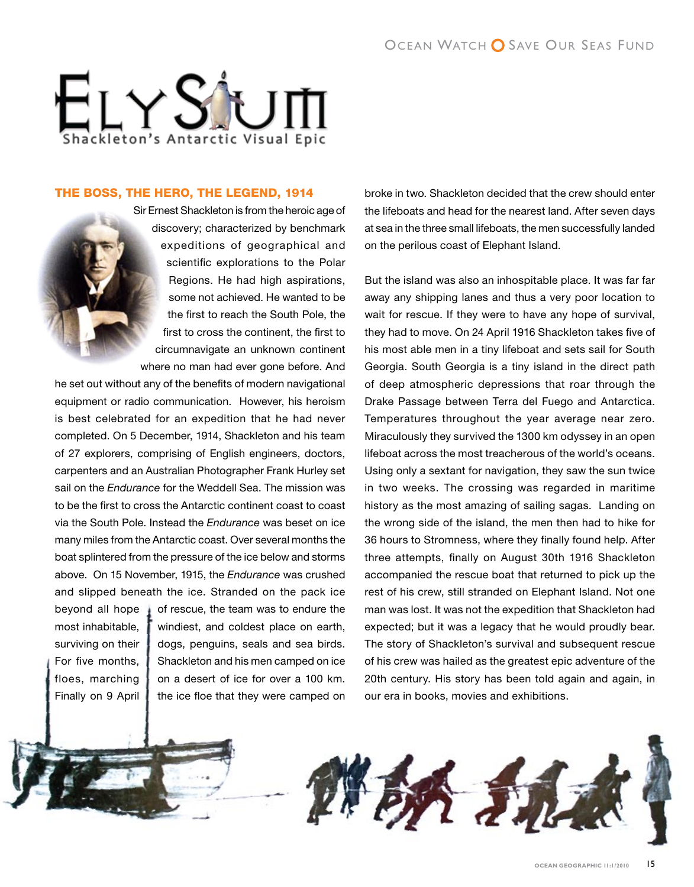

## The Boss, The Hero, The Legend, 1914



Sir Ernest Shackleton is from the heroic age of discovery; characterized by benchmark expeditions of geographical and scientific explorations to the Polar Regions. He had high aspirations, some not achieved. He wanted to be the first to reach the South Pole, the first to cross the continent, the first to circumnavigate an unknown continent where no man had ever gone before. And

he set out without any of the benefits of modern navigational equipment or radio communication. However, his heroism is best celebrated for an expedition that he had never completed. On 5 December, 1914, Shackleton and his team of 27 explorers, comprising of English engineers, doctors, carpenters and an Australian Photographer Frank Hurley set sail on the *Endurance* for the Weddell Sea. The mission was to be the first to cross the Antarctic continent coast to coast via the South Pole. Instead the *Endurance* was beset on ice many miles from the Antarctic coast. Over several months the boat splintered from the pressure of the ice below and storms above. On 15 November, 1915, the *Endurance* was crushed and slipped beneath the ice. Stranded on the pack ice beyond all hope  $\overline{\phantom{a}}$  of rescue, the team was to endure the most inhabitable,  $\sqrt{\ }$  windiest, and coldest place on earth, surviving on their | dogs, penguins, seals and sea birds. For five months,  $\parallel$  Shackleton and his men camped on ice floes, marching  $\parallel$  on a desert of ice for over a 100 km. Finally on 9 April  $\parallel$  the ice floe that they were camped on broke in two. Shackleton decided that the crew should enter the lifeboats and head for the nearest land. After seven days at sea in the three small lifeboats, the men successfully landed on the perilous coast of Elephant Island.

But the island was also an inhospitable place. It was far far away any shipping lanes and thus a very poor location to wait for rescue. If they were to have any hope of survival, they had to move. On 24 April 1916 Shackleton takes five of his most able men in a tiny lifeboat and sets sail for South Georgia. South Georgia is a tiny island in the direct path of deep atmospheric depressions that roar through the Drake Passage between Terra del Fuego and Antarctica. Temperatures throughout the year average near zero. Miraculously they survived the 1300 km odyssey in an open lifeboat across the most treacherous of the world's oceans. Using only a sextant for navigation, they saw the sun twice in two weeks. The crossing was regarded in maritime history as the most amazing of sailing sagas. Landing on the wrong side of the island, the men then had to hike for 36 hours to Stromness, where they finally found help. After three attempts, finally on August 30th 1916 Shackleton accompanied the rescue boat that returned to pick up the rest of his crew, still stranded on Elephant Island. Not one man was lost. It was not the expedition that Shackleton had expected; but it was a legacy that he would proudly bear. The story of Shackleton's survival and subsequent rescue of his crew was hailed as the greatest epic adventure of the 20th century. His story has been told again and again, in our era in books, movies and exhibitions.

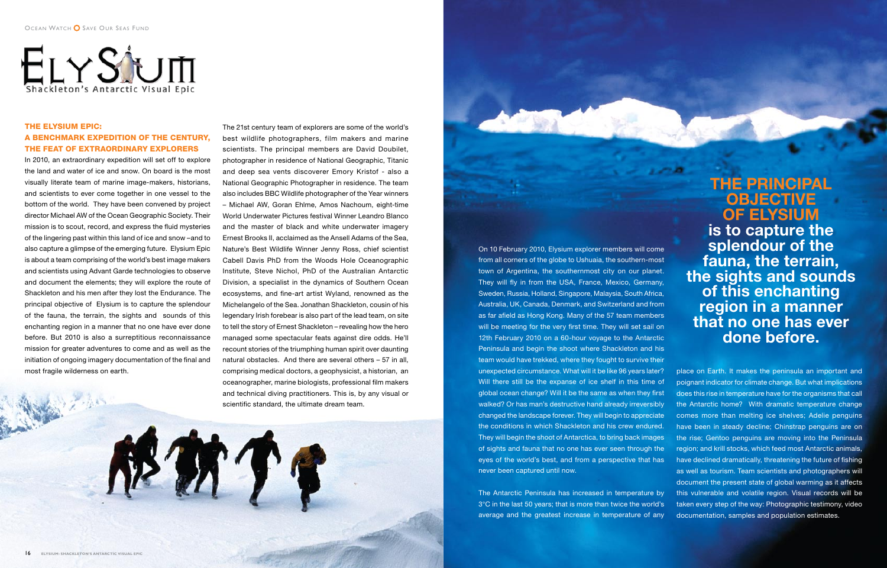

# The Elysium Epic: A Benchmark Expedition of the Century, The Feat of Extraordinary Explorers

In 2010, an extraordinary expedition will set off to explore the land and water of ice and snow. On board is the most visually literate team of marine image-makers, historians, and scientists to ever come together in one vessel to the bottom of the world. They have been convened by project director Michael AW of the Ocean Geographic Society. Their mission is to scout, record, and express the fluid mysteries of the lingering past within this land of ice and snow –and to also capture a glimpse of the emerging future. Elysium Epic is about a team comprising of the world's best image makers and scientists using Advant Garde technologies to observe and document the elements; they will explore the route of Shackleton and his men after they lost the Endurance. The principal objective of Elysium is to capture the splendour of the fauna, the terrain, the sights and sounds of this enchanting region in a manner that no one have ever done before. But 2010 is also a surreptitious reconnaissance mission for greater adventures to come and as well as the initiation of ongoing imagery documentation of the final and most fragile wilderness on earth.

The 21st century team of explorers are some of the world's best wildlife photographers, film makers and marine scientists. The principal members are David Doubilet, photographer in residence of National Geographic, Titanic and deep sea vents discoverer Emory Kristof - also a National Geographic Photographer in residence. The team also includes BBC Wildlife photographer of the Year winners – Michael AW, Goran Ehlme, Amos Nachoum, eight-time World Underwater Pictures festival Winner Leandro Blanco and the master of black and white underwater imagery Ernest Brooks II, acclaimed as the Ansell Adams of the Sea, Nature's Best Wildlife Winner Jenny Ross, chief scientist Cabell Davis PhD from the Woods Hole Oceanographic Institute, Steve Nichol, PhD of the Australian Antarctic Division, a specialist in the dynamics of Southern Ocean ecosystems, and fine-art artist Wyland, renowned as the Michelangelo of the Sea. Jonathan Shackleton, cousin of his legendary Irish forebear is also part of the lead team, on site to tell the story of Ernest Shackleton – revealing how the hero managed some spectacular feats against dire odds. He'll recount stories of the triumphing human spirit over daunting natural obstacles. And there are several others – 57 in all, comprising medical doctors, a geophysicist, a historian, an oceanographer, marine biologists, professional film makers and technical diving practitioners. This is, by any visual or scientific standard, the ultimate dream team.

**The principal objective of Elysium is to capture the splendour of the fauna, the terrain, the sights and sounds of this enchanting region in a manner that no one has ever done before.**

On 10 February 2010, Elysium explorer members will come from all corners of the globe to Ushuaia, the southern-most town of Argentina, the southernmost city on our planet. They will fly in from the USA, France, Mexico, Germany, Sweden, Russia, Holland, Singapore, Malaysia, South Africa, Australia, UK, Canada, Denmark, and Switzerland and from as far afield as Hong Kong. Many of the 57 team members will be meeting for the very first time. They will set sail on 12th February 2010 on a 60-hour voyage to the Antarctic Peninsula and begin the shoot where Shackleton and his team would have trekked, where they fought to survive their unexpected circumstance. What will it be like 96 years later? Will there still be the expanse of ice shelf in this time of global ocean change? Will it be the same as when they first walked? Or has man's destructive hand already irreversibly changed the landscape forever. They will begin to appreciate the conditions in which Shackleton and his crew endured. They will begin the shoot of Antarctica, to bring back images of sights and fauna that no one has ever seen through the eyes of the world's best, and from a perspective that has never been captured until now.

The Antarctic Peninsula has increased in temperature by 3°C in the last 50 years; that is more than twice the world's average and the greatest increase in temperature of any place on Earth. It makes the peninsula an important and poignant indicator for climate change. But what implications does this rise in temperature have for the organisms that call the Antarctic home? With dramatic temperature change comes more than melting ice shelves; Adelie penguins have been in steady decline; Chinstrap penguins are on the rise; Gentoo penguins are moving into the Peninsula region; and krill stocks, which feed most Antarctic animals, have declined dramatically, threatening the future of fishing as well as tourism. Team scientists and photographers will document the present state of global warming as it affects this vulnerable and volatile region. Visual records will be taken every step of the way: Photographic testimony, video documentation, samples and population estimates.